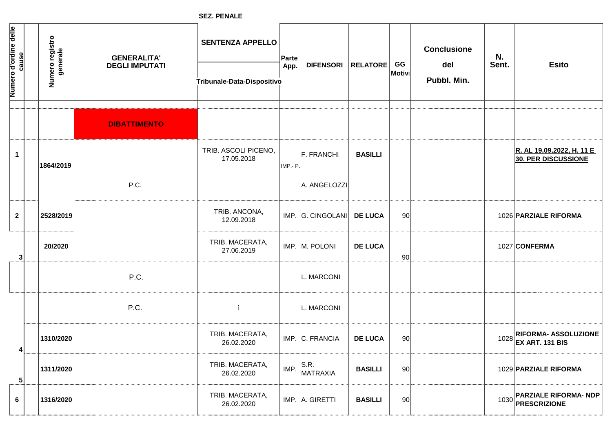**SEZ. PENALE**

| Numero d'ordine delle | <u>cause</u> | Numero registro<br>generale | <b>GENERALITA'</b><br><b>DEGLI IMPUTATI</b> | <b>SENTENZA APPELLO</b><br>Tribunale-Data-Dispositivo | Parte<br>App. | <b>DIFENSORI</b>  | <b>RELATORE</b> | GG<br>Motivi | <b>Conclusione</b><br>del<br>Pubbl. Min. | N.<br>Sent. | <b>Esito</b>                                             |
|-----------------------|--------------|-----------------------------|---------------------------------------------|-------------------------------------------------------|---------------|-------------------|-----------------|--------------|------------------------------------------|-------------|----------------------------------------------------------|
|                       |              |                             |                                             |                                                       |               |                   |                 |              |                                          |             |                                                          |
|                       |              |                             | <b>DIBATTIMENTO</b>                         |                                                       |               |                   |                 |              |                                          |             |                                                          |
|                       | $\mathbf 1$  | 1864/2019                   |                                             | TRIB. ASCOLI PICENO,<br>17.05.2018                    | IMP - P       | F. FRANCHI        | <b>BASILLI</b>  |              |                                          |             | R. AL 19.09.2022, H. 11 E<br>30. PER DISCUSSIONE         |
|                       |              |                             | P.C.                                        |                                                       |               | A. ANGELOZZI      |                 |              |                                          |             |                                                          |
|                       | $\mathbf{2}$ | 2528/2019                   |                                             | TRIB. ANCONA,<br>12.09.2018                           |               | IMP. G. CINGOLANI | <b>DE LUCA</b>  | 90           |                                          |             | 1026 PARZIALE RIFORMA                                    |
|                       | 3            | 20/2020                     |                                             | TRIB. MACERATA,<br>27.06.2019                         |               | IMP. M. POLONI    | <b>DE LUCA</b>  | 90           |                                          |             | 1027 CONFERMA                                            |
|                       |              |                             | P.C.                                        |                                                       |               | L. MARCONI        |                 |              |                                          |             |                                                          |
|                       |              |                             | P.C.                                        | -ì                                                    |               | L. MARCONI        |                 |              |                                          |             |                                                          |
|                       | 4            | 1310/2020                   |                                             | TRIB. MACERATA,<br>26.02.2020                         |               | IMP. C. FRANCIA   | <b>DE LUCA</b>  | 90           |                                          | 1028        | <b>RIFORMA- ASSOLUZIONE</b><br><b>EX ART. 131 BIS</b>    |
|                       | 5            | 1311/2020                   |                                             | TRIB. MACERATA,<br>26.02.2020                         | IMP.          | S.R.<br>MATRAXIA  | <b>BASILLI</b>  | 90           |                                          |             | 1029 PARZIALE RIFORMA                                    |
|                       | 6            | 1316/2020                   |                                             | TRIB. MACERATA,<br>26.02.2020                         |               | IMP. A. GIRETTI   | <b>BASILLI</b>  | 90           |                                          |             | <b>PARZIALE RIFORMA- NDP</b><br>1030 <b>PRESCRIZIONE</b> |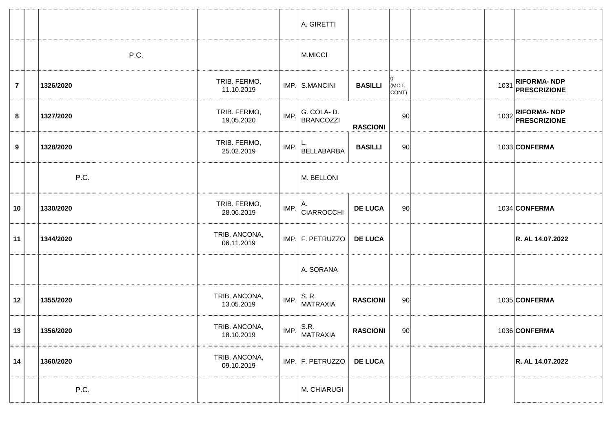|                  |           |      |                             |      | A. GIRETTI                                                                |                 |                      |  |                                   |
|------------------|-----------|------|-----------------------------|------|---------------------------------------------------------------------------|-----------------|----------------------|--|-----------------------------------|
|                  |           | P.C. |                             |      | M.MICCI                                                                   |                 |                      |  |                                   |
| $\overline{7}$   | 1326/2020 |      | TRIB. FERMO,<br>11.10.2019  |      | IMP. S.MANCINI                                                            | <b>BASILLI</b>  | 10<br>(MOT.<br>CONT) |  | 1031 RIFORMA- NDP<br>PRESCRIZIONE |
| 8                | 1327/2020 |      | TRIB. FERMO,<br>19.05.2020  | IMP. | G. COLA-D.<br><b>BRANCOZZI</b>                                            | <b>RASCIONI</b> | 90                   |  | 1032 RIFORMA- NDP<br>PRESCRIZIONE |
| $\boldsymbol{9}$ | 1328/2020 |      | TRIB. FERMO,<br>25.02.2019  |      | $\mathsf{IMP.}$ $\mathsf{BELLABARBA}$                                     | <b>BASILLI</b>  | 90                   |  | 1033 CONFERMA                     |
|                  |           | P.C. |                             |      | M. BELLONI                                                                |                 |                      |  |                                   |
| 10               | 1330/2020 |      | TRIB. FERMO,<br>28.06.2019  |      | $\binom{1}{1}$ IMP. $\begin{bmatrix} A & A \ CIARROCCHI \end{bmatrix}$    | <b>DE LUCA</b>  | 90                   |  | 1034 CONFERMA                     |
| 11               | 1344/2020 |      | TRIB. ANCONA,<br>06.11.2019 |      | IMP. F. PETRUZZO                                                          | <b>DE LUCA</b>  |                      |  | R. AL 14.07.2022                  |
|                  |           |      |                             |      | A. SORANA                                                                 |                 |                      |  |                                   |
| 12               | 1355/2020 |      | TRIB. ANCONA,<br>13.05.2019 |      | $IMP.$ S. R.<br>MATRAXIA                                                  | <b>RASCIONI</b> | 90                   |  | 1035 CONFERMA                     |
| 13               | 1356/2020 |      | TRIB. ANCONA,<br>18.10.2019 |      | IMP. $\Big \begin{array}{c} \text{S.R.} \text{MATRAXIA} \end{array}\Big $ | <b>RASCIONI</b> | 90                   |  | 1036 CONFERMA                     |
| 14               | 1360/2020 |      | TRIB. ANCONA,<br>09.10.2019 |      | IMP. F. PETRUZZO                                                          | <b>DE LUCA</b>  |                      |  | R. AL 14.07.2022                  |
|                  |           | P.C. |                             |      | M. CHIARUGI                                                               |                 |                      |  |                                   |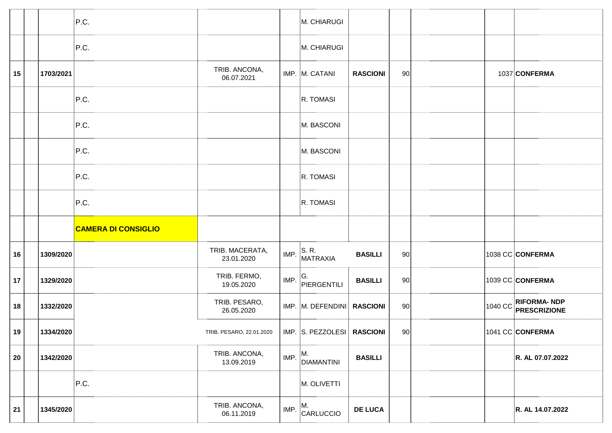|    |           | P.C.                       |                               |      | M. CHIARUGI                       |                 |       |  |                                             |
|----|-----------|----------------------------|-------------------------------|------|-----------------------------------|-----------------|-------|--|---------------------------------------------|
|    |           | P.C.                       |                               |      | M. CHIARUGI                       |                 |       |  |                                             |
| 15 | 1703/2021 |                            | TRIB. ANCONA,<br>06.07.2021   |      | IMP. M. CATANI                    | <b>RASCIONI</b> | 90    |  | 1037 CONFERMA                               |
|    |           | P.C.                       |                               |      | R. TOMASI                         |                 |       |  |                                             |
|    |           | P.C.                       |                               |      | M. BASCONI                        |                 |       |  |                                             |
|    |           | P.C.                       |                               |      | M. BASCONI                        |                 |       |  |                                             |
|    |           | P.C.                       |                               |      | R. TOMASI                         |                 |       |  |                                             |
|    |           | P.C.                       |                               |      | R. TOMASI                         |                 |       |  |                                             |
|    |           |                            |                               |      |                                   |                 |       |  |                                             |
|    |           | <b>CAMERA DI CONSIGLIO</b> |                               |      |                                   |                 |       |  |                                             |
| 16 | 1309/2020 |                            | TRIB. MACERATA,<br>23.01.2020 |      | $\mathsf{IMP.}$ S. R.<br>MATRAXIA | <b>BASILLI</b>  | 90    |  | 1038 CC CONFERMA                            |
| 17 | 1329/2020 |                            | TRIB. FERMO,<br>19.05.2020    | IMP. | G.<br>PIERGENTILI                 | <b>BASILLI</b>  | 90    |  | 1039 CC CONFERMA                            |
| 18 | 1332/2020 |                            | TRIB. PESARO,<br>26.05.2020   |      | IMP. M. DEFENDINI RASCIONI        |                 | 90    |  | 1040 CC RIFORMA- NDP<br><b>PRESCRIZIONE</b> |
| 19 | 1334/2020 |                            | TRIB. PESARO. 22.01.2020      |      | IMP. S. PEZZOLESI RASCIONI        |                 | .90 l |  | 1041 CC CONFERMA                            |
| 20 | 1342/2020 |                            | TRIB. ANCONA,<br>13.09.2019   | IMP. | М.<br>DIAMANTINI                  | <b>BASILLI</b>  |       |  | R. AL 07.07.2022                            |
|    |           | P.C.                       |                               |      | M. OLIVETTI                       |                 |       |  |                                             |